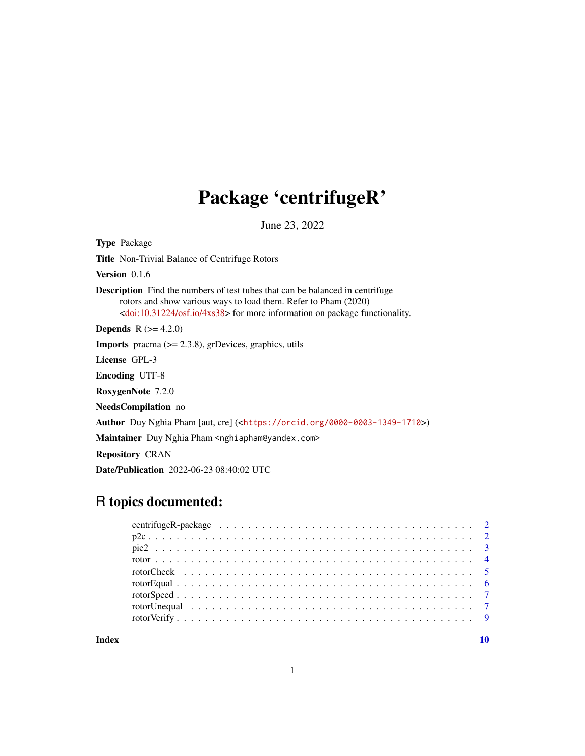## Package 'centrifugeR'

June 23, 2022

<span id="page-0-0"></span>Type Package Title Non-Trivial Balance of Centrifuge Rotors Version 0.1.6 Description Find the numbers of test tubes that can be balanced in centrifuge rotors and show various ways to load them. Refer to Pham (2020) [<doi:10.31224/osf.io/4xs38>](https://doi.org/10.31224/osf.io/4xs38) for more information on package functionality. **Depends**  $R (= 4.2.0)$ **Imports** pracma  $(>= 2.3.8)$ , grDevices, graphics, utils License GPL-3 Encoding UTF-8 RoxygenNote 7.2.0 NeedsCompilation no Author Duy Nghia Pham [aut, cre] (<<https://orcid.org/0000-0003-1349-1710>>) Maintainer Duy Nghia Pham <nghiapham@yandex.com> Repository CRAN Date/Publication 2022-06-23 08:40:02 UTC

## R topics documented:

 $\blacksquare$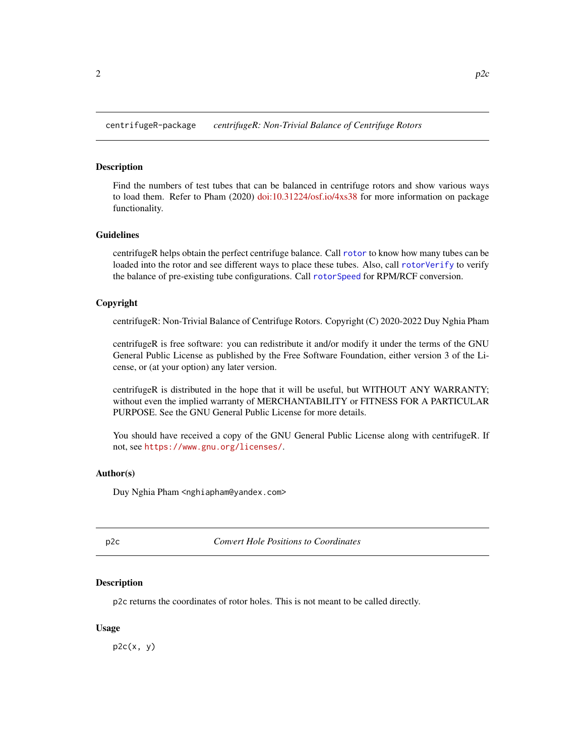<span id="page-1-0"></span>centrifugeR-package *centrifugeR: Non-Trivial Balance of Centrifuge Rotors*

## **Description**

Find the numbers of test tubes that can be balanced in centrifuge rotors and show various ways to load them. Refer to Pham (2020) [doi:10.31224/osf.io/4xs38](https://doi.org/10.31224/osf.io/4xs38) for more information on package functionality.

#### Guidelines

centrifugeR helps obtain the perfect centrifuge balance. Call [rotor](#page-3-1) to know how many tubes can be loaded into the rotor and see different ways to place these tubes. Also, call [rotorVerify](#page-8-1) to verify the balance of pre-existing tube configurations. Call [rotorSpeed](#page-6-1) for RPM/RCF conversion.

#### Copyright

centrifugeR: Non-Trivial Balance of Centrifuge Rotors. Copyright (C) 2020-2022 Duy Nghia Pham

centrifugeR is free software: you can redistribute it and/or modify it under the terms of the GNU General Public License as published by the Free Software Foundation, either version 3 of the License, or (at your option) any later version.

centrifugeR is distributed in the hope that it will be useful, but WITHOUT ANY WARRANTY; without even the implied warranty of MERCHANTABILITY or FITNESS FOR A PARTICULAR PURPOSE. See the GNU General Public License for more details.

You should have received a copy of the GNU General Public License along with centrifugeR. If not, see <https://www.gnu.org/licenses/>.

#### Author(s)

Duy Nghia Pham <nghiapham@yandex.com>

p2c *Convert Hole Positions to Coordinates*

#### Description

p2c returns the coordinates of rotor holes. This is not meant to be called directly.

#### Usage

 $p2c(x, y)$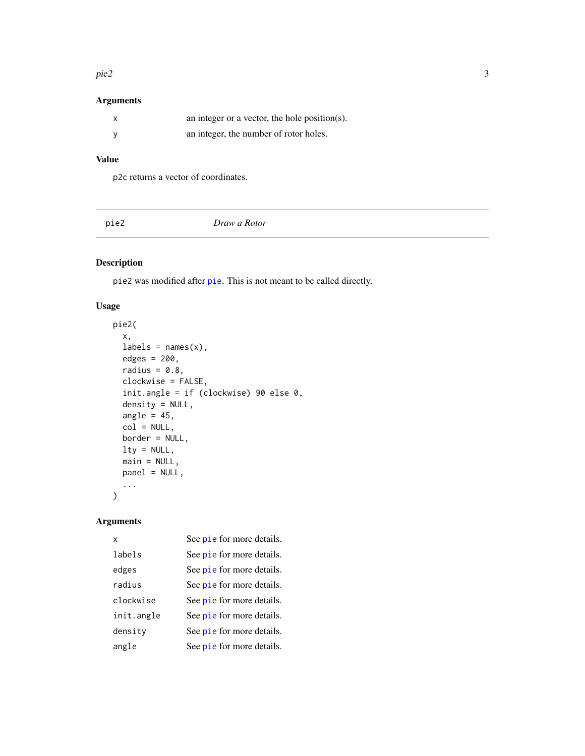#### <span id="page-2-0"></span> $pie2$  3

## Arguments

| an integer or a vector, the hole position(s). |
|-----------------------------------------------|
| an integer, the number of rotor holes.        |

## Value

p2c returns a vector of coordinates.

pie2 *Draw a Rotor*

## Description

pie2 was modified after [pie](#page-0-0). This is not meant to be called directly.

## Usage

```
pie2(
  x,
 labels = names(x),edges = 200,
  radius = 0.8,
 clockwise = FALSE,
  init.angle = if (clockwise) 90 else 0,
  density = NULL,
  angle = 45,
  col = NULL,border = NULL,
 lty = NULL,main = NULL,
 panel = NULL,
  ...
\mathcal{L}
```
## Arguments

| x          | See pie for more details. |
|------------|---------------------------|
| labels     | See pie for more details. |
| edges      | See pie for more details. |
| radius     | See pie for more details. |
| clockwise  | See pie for more details. |
| init.angle | See pie for more details. |
| density    | See pie for more details. |
| angle      | See pie for more details. |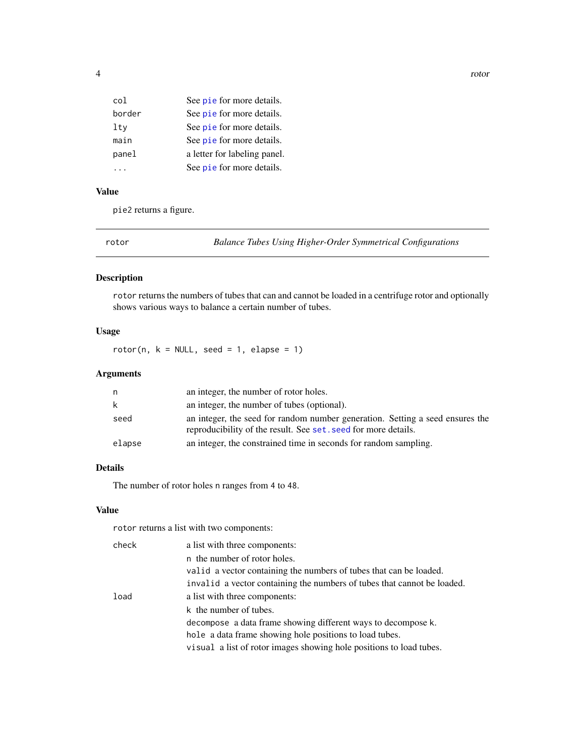<span id="page-3-0"></span>

| col    | See pie for more details.    |
|--------|------------------------------|
| border | See pie for more details.    |
| lty    | See pie for more details.    |
| main   | See pie for more details.    |
| panel  | a letter for labeling panel. |
|        | See pie for more details.    |

## Value

pie2 returns a figure.

<span id="page-3-1"></span>rotor *Balance Tubes Using Higher-Order Symmetrical Configurations*

## Description

rotor returns the numbers of tubes that can and cannot be loaded in a centrifuge rotor and optionally shows various ways to balance a certain number of tubes.

## Usage

rotor(n,  $k = NULL$ , seed = 1, elapse = 1)

## Arguments

| n      | an integer, the number of rotor holes.                                                                                                          |
|--------|-------------------------------------------------------------------------------------------------------------------------------------------------|
| k.     | an integer, the number of tubes (optional).                                                                                                     |
| seed   | an integer, the seed for random number generation. Setting a seed ensures the<br>reproducibility of the result. See set, seed for more details. |
| elapse | an integer, the constrained time in seconds for random sampling.                                                                                |

## Details

The number of rotor holes n ranges from 4 to 48.

## Value

rotor returns a list with two components:

| check | a list with three components:                                           |
|-------|-------------------------------------------------------------------------|
|       | n the number of rotor holes.                                            |
|       | valid a vector containing the numbers of tubes that can be loaded.      |
|       | invalid a vector containing the numbers of tubes that cannot be loaded. |
| load  | a list with three components:                                           |
|       | k the number of tubes.                                                  |
|       | decompose a data frame showing different ways to decompose k.           |
|       | hole a data frame showing hole positions to load tubes.                 |
|       | visual a list of rotor images showing hole positions to load tubes.     |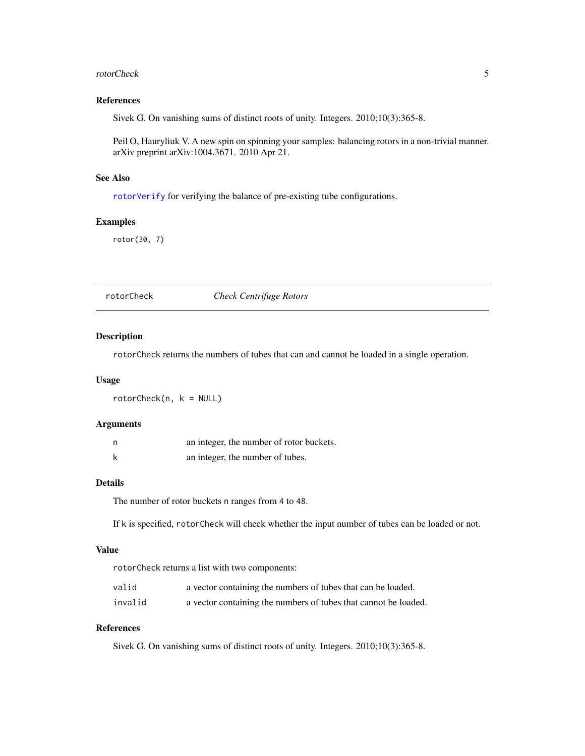#### <span id="page-4-0"></span>rotorCheck 5

#### References

Sivek G. On vanishing sums of distinct roots of unity. Integers. 2010;10(3):365-8.

Peil O, Hauryliuk V. A new spin on spinning your samples: balancing rotors in a non-trivial manner. arXiv preprint arXiv:1004.3671. 2010 Apr 21.

## See Also

[rotorVerify](#page-8-1) for verifying the balance of pre-existing tube configurations.

#### Examples

rotor(30, 7)

#### <span id="page-4-1"></span>rotorCheck *Check Centrifuge Rotors*

#### Description

rotorCheck returns the numbers of tubes that can and cannot be loaded in a single operation.

#### Usage

rotorCheck(n, k = NULL)

## Arguments

| n | an integer, the number of rotor buckets. |
|---|------------------------------------------|
|   | an integer, the number of tubes.         |

### Details

The number of rotor buckets n ranges from 4 to 48.

If k is specified, rotorCheck will check whether the input number of tubes can be loaded or not.

#### Value

rotorCheck returns a list with two components:

| valid | a vector containing the numbers of tubes that can be loaded. |
|-------|--------------------------------------------------------------|
|       |                                                              |

invalid a vector containing the numbers of tubes that cannot be loaded.

## References

Sivek G. On vanishing sums of distinct roots of unity. Integers. 2010;10(3):365-8.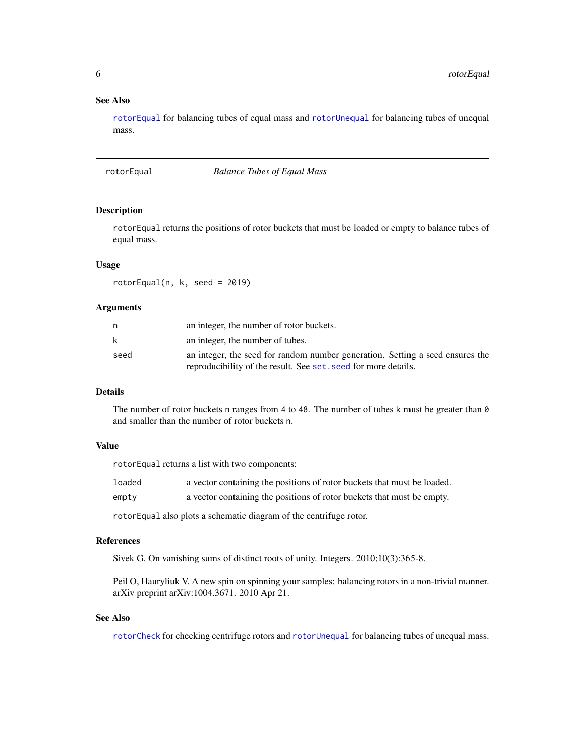#### <span id="page-5-0"></span>See Also

[rotorEqual](#page-5-1) for balancing tubes of equal mass and [rotorUnequal](#page-6-2) for balancing tubes of unequal mass.

#### <span id="page-5-1"></span>rotorEqual *Balance Tubes of Equal Mass*

## Description

rotorEqual returns the positions of rotor buckets that must be loaded or empty to balance tubes of equal mass.

#### Usage

rotorEqual(n, k, seed = 2019)

#### Arguments

|      | an integer, the number of rotor buckets.                                      |
|------|-------------------------------------------------------------------------------|
|      | an integer, the number of tubes.                                              |
| seed | an integer, the seed for random number generation. Setting a seed ensures the |
|      | reproducibility of the result. See set, seed for more details.                |

#### Details

The number of rotor buckets n ranges from 4 to 48. The number of tubes k must be greater than 0 and smaller than the number of rotor buckets n.

#### Value

rotorEqual returns a list with two components:

| loaded | a vector containing the positions of rotor buckets that must be loaded. |
|--------|-------------------------------------------------------------------------|
| empty  | a vector containing the positions of rotor buckets that must be empty.  |
|        | rotor Equal also plots a schematic diagram of the centrifuge rotor.     |

#### References

Sivek G. On vanishing sums of distinct roots of unity. Integers. 2010;10(3):365-8.

Peil O, Hauryliuk V. A new spin on spinning your samples: balancing rotors in a non-trivial manner. arXiv preprint arXiv:1004.3671. 2010 Apr 21.

#### See Also

[rotorCheck](#page-4-1) for checking centrifuge rotors and [rotorUnequal](#page-6-2) for balancing tubes of unequal mass.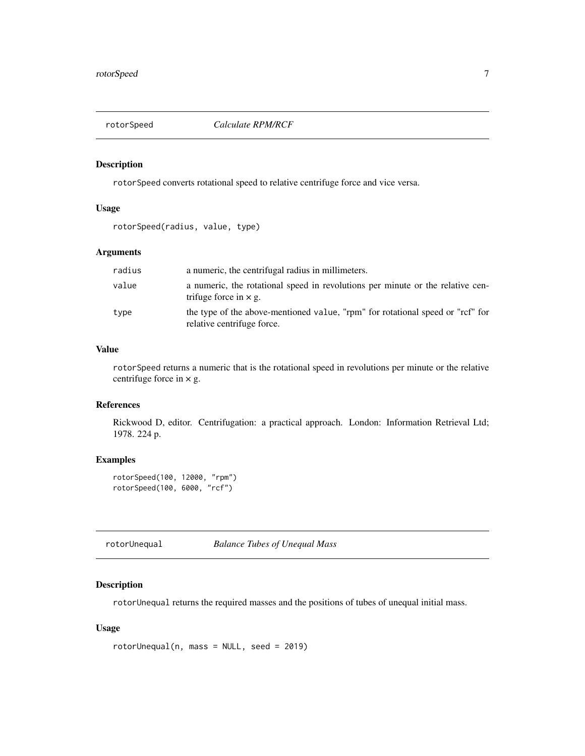<span id="page-6-1"></span><span id="page-6-0"></span>

#### Description

rotorSpeed converts rotational speed to relative centrifuge force and vice versa.

## Usage

rotorSpeed(radius, value, type)

## Arguments

| radius | a numeric, the centrifugal radius in millimeters.                                                              |
|--------|----------------------------------------------------------------------------------------------------------------|
| value  | a numeric, the rotational speed in revolutions per minute or the relative cen-<br>trifuge force in $\times$ g. |
| type   | the type of the above-mentioned value, "rpm" for rotational speed or "rcf" for<br>relative centrifuge force.   |

## Value

rotorSpeed returns a numeric that is the rotational speed in revolutions per minute or the relative centrifuge force in  $\times$  g.

## References

Rickwood D, editor. Centrifugation: a practical approach. London: Information Retrieval Ltd; 1978. 224 p.

## Examples

```
rotorSpeed(100, 12000, "rpm")
rotorSpeed(100, 6000, "rcf")
```
<span id="page-6-2"></span>rotorUnequal *Balance Tubes of Unequal Mass*

## Description

rotorUnequal returns the required masses and the positions of tubes of unequal initial mass.

#### Usage

```
rotorUnequal(n, mass = NULL, seed = 2019)
```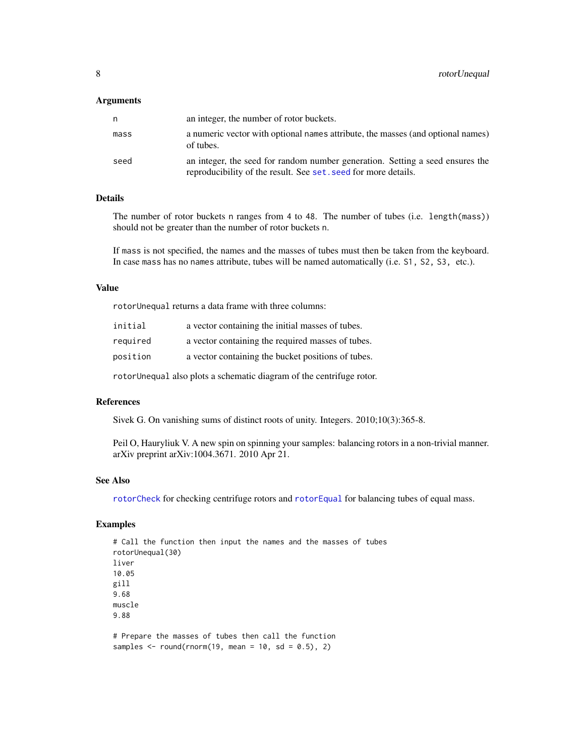#### <span id="page-7-0"></span>Arguments

| n    | an integer, the number of rotor buckets.                                                                                                        |
|------|-------------------------------------------------------------------------------------------------------------------------------------------------|
| mass | a numeric vector with optional names attribute, the masses (and optional names)<br>of tubes.                                                    |
| seed | an integer, the seed for random number generation. Setting a seed ensures the<br>reproducibility of the result. See set, seed for more details. |

#### Details

The number of rotor buckets n ranges from 4 to 48. The number of tubes (i.e. length(mass)) should not be greater than the number of rotor buckets n.

If mass is not specified, the names and the masses of tubes must then be taken from the keyboard. In case mass has no names attribute, tubes will be named automatically (i.e. S1, S2, S3, etc.).

#### Value

rotorUnequal returns a data frame with three columns:

| initial  | a vector containing the initial masses of tubes.   |
|----------|----------------------------------------------------|
| required | a vector containing the required masses of tubes.  |
| position | a vector containing the bucket positions of tubes. |
|          |                                                    |

rotorUnequal also plots a schematic diagram of the centrifuge rotor.

#### References

Sivek G. On vanishing sums of distinct roots of unity. Integers. 2010;10(3):365-8.

Peil O, Hauryliuk V. A new spin on spinning your samples: balancing rotors in a non-trivial manner. arXiv preprint arXiv:1004.3671. 2010 Apr 21.

#### See Also

[rotorCheck](#page-4-1) for checking centrifuge rotors and [rotorEqual](#page-5-1) for balancing tubes of equal mass.

## Examples

# Call the function then input the names and the masses of tubes rotorUnequal(30) liver 10.05 gill 9.68 muscle 9.88

# Prepare the masses of tubes then call the function samples  $\le$  round(rnorm(19, mean = 10, sd = 0.5), 2)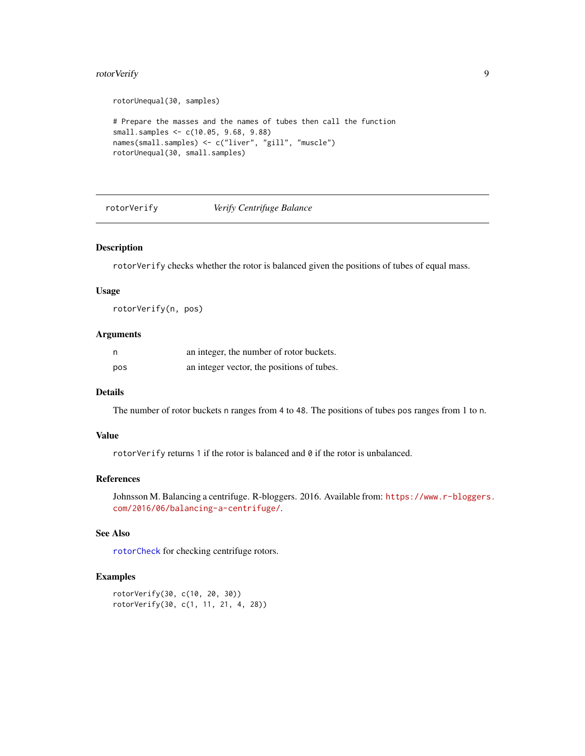## <span id="page-8-0"></span>rotorVerify 9

```
rotorUnequal(30, samples)
# Prepare the masses and the names of tubes then call the function
small.samples <- c(10.05, 9.68, 9.88)
names(small.samples) <- c("liver", "gill", "muscle")
rotorUnequal(30, small.samples)
```
<span id="page-8-1"></span>rotorVerify *Verify Centrifuge Balance*

#### Description

rotorVerify checks whether the rotor is balanced given the positions of tubes of equal mass.

#### Usage

rotorVerify(n, pos)

#### Arguments

|     | an integer, the number of rotor buckets.   |
|-----|--------------------------------------------|
| pos | an integer vector, the positions of tubes. |

#### Details

The number of rotor buckets n ranges from 4 to 48. The positions of tubes pos ranges from 1 to n.

#### Value

rotorVerify returns 1 if the rotor is balanced and  $\theta$  if the rotor is unbalanced.

#### References

Johnsson M. Balancing a centrifuge. R-bloggers. 2016. Available from: [https://www.r-bloggers](https://www.r-bloggers.com/2016/06/balancing-a-centrifuge/). [com/2016/06/balancing-a-centrifuge/](https://www.r-bloggers.com/2016/06/balancing-a-centrifuge/).

## See Also

[rotorCheck](#page-4-1) for checking centrifuge rotors.

#### Examples

```
rotorVerify(30, c(10, 20, 30))
rotorVerify(30, c(1, 11, 21, 4, 28))
```